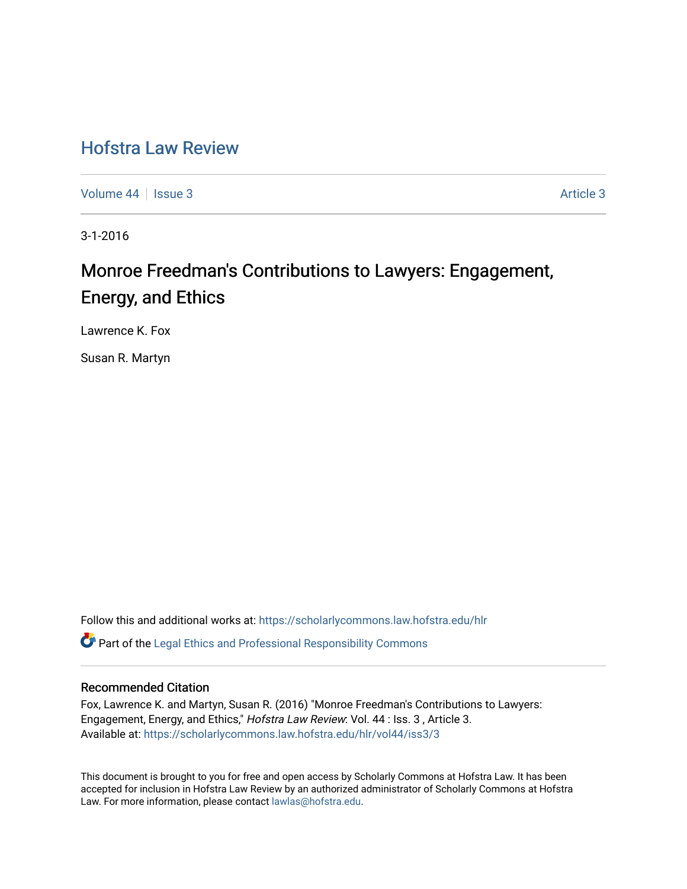## [Hofstra Law Review](https://scholarlycommons.law.hofstra.edu/hlr)

[Volume 44](https://scholarlycommons.law.hofstra.edu/hlr/vol44) | [Issue 3](https://scholarlycommons.law.hofstra.edu/hlr/vol44/iss3) Article 3

3-1-2016

# Monroe Freedman's Contributions to Lawyers: Engagement, Energy, and Ethics

Lawrence K. Fox

Susan R. Martyn

Follow this and additional works at: [https://scholarlycommons.law.hofstra.edu/hlr](https://scholarlycommons.law.hofstra.edu/hlr?utm_source=scholarlycommons.law.hofstra.edu%2Fhlr%2Fvol44%2Fiss3%2F3&utm_medium=PDF&utm_campaign=PDFCoverPages)  $\bullet$  Part of the [Legal Ethics and Professional Responsibility Commons](http://network.bepress.com/hgg/discipline/895?utm_source=scholarlycommons.law.hofstra.edu%2Fhlr%2Fvol44%2Fiss3%2F3&utm_medium=PDF&utm_campaign=PDFCoverPages)

#### Recommended Citation

Fox, Lawrence K. and Martyn, Susan R. (2016) "Monroe Freedman's Contributions to Lawyers: Engagement, Energy, and Ethics," Hofstra Law Review: Vol. 44 : Iss. 3, Article 3. Available at: [https://scholarlycommons.law.hofstra.edu/hlr/vol44/iss3/3](https://scholarlycommons.law.hofstra.edu/hlr/vol44/iss3/3?utm_source=scholarlycommons.law.hofstra.edu%2Fhlr%2Fvol44%2Fiss3%2F3&utm_medium=PDF&utm_campaign=PDFCoverPages)

This document is brought to you for free and open access by Scholarly Commons at Hofstra Law. It has been accepted for inclusion in Hofstra Law Review by an authorized administrator of Scholarly Commons at Hofstra Law. For more information, please contact [lawlas@hofstra.edu.](mailto:lawlas@hofstra.edu)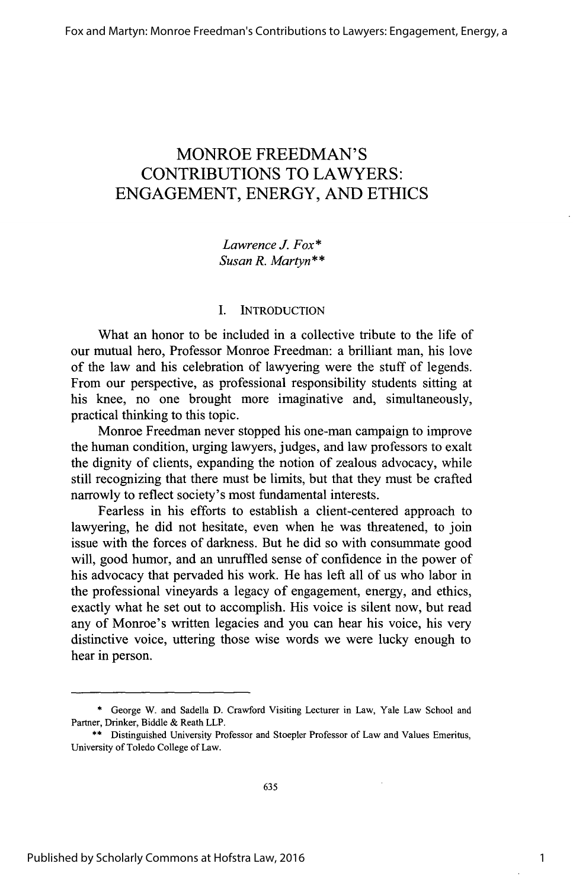### MONROE **FREEDMAN'S CONTRIBUTIONS** TO LAWYERS: **ENGAGEMENT,** ENERGY, **AND ETHICS**

*Lawrence J. Fox\* Susan R. Martyn\*\**

#### **I. INTRODUCTION**

What an honor to be included in a collective tribute to the life of our mutual hero, Professor Monroe Freedman: a brilliant man, his love of the law and his celebration of lawyering were the stuff of legends. From our perspective, as professional responsibility students sitting at his knee, no one brought more imaginative and, simultaneously, practical thinking to this topic.

Monroe Freedman never stopped his one-man campaign to improve the human condition, urging lawyers, judges, and law professors to exalt the dignity of clients, expanding the notion of zealous advocacy, while still recognizing that there must be limits, but that they must be crafted narrowly to reflect society's most fundamental interests.

Fearless in his efforts to establish a client-centered approach to lawyering, he did not hesitate, even when he was threatened, to join issue with the forces of darkness. But he did so with consummate good will, good humor, and an unruffled sense of confidence in the power of his advocacy that pervaded his work. He has left all of us who labor in the professional vineyards a legacy of engagement, energy, and ethics, exactly what he set out to accomplish. His voice is silent now, but read any of Monroe's written legacies and you can hear his voice, his very distinctive voice, uttering those wise words we were lucky enough to hear in person.

**<sup>\*</sup>** George W. and Sadella **D.** Crawford Visiting Lecturer in Law, Yale Law School and Partner, Drinker, Biddle **&** Reath LLP.

**<sup>\*\*</sup>** Distinguished University Professor and Stoepler Professor of Law and Values Emeritus, University of Toledo College of Law.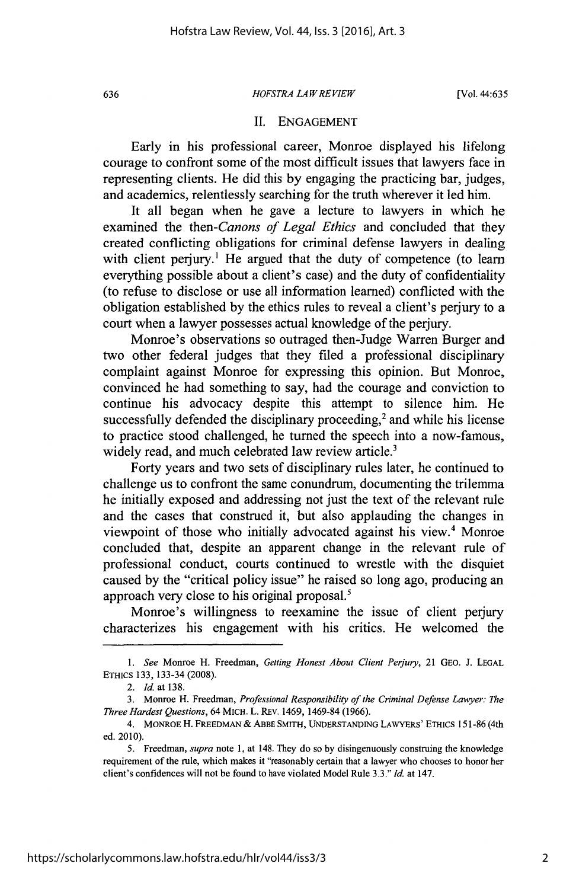#### *HOFSTRA LA WREVIEW* **636** [Vol. 44:635

#### **II. ENGAGEMENT**

Early in his professional career, Monroe displayed his lifelong courage to confront some of the most difficult issues that lawyers face in representing clients. He did this **by** engaging the practicing bar, judges, and academics, relentlessly searching for the truth wherever it led him.

It all began when he gave a lecture to lawyers in which he examined the *then-Canons of Legal Ethics* and concluded that they created conflicting obligations for criminal defense lawyers in dealing with client perjury.<sup>1</sup> He argued that the duty of competence (to learn everything possible about a client's case) and the duty of confidentiality (to refuse to disclose or use all information learned) conflicted with the obligation established **by** the ethics rules to reveal a client's perjury to a court when a lawyer possesses actual knowledge of the perjury.

Monroe's observations so outraged then-Judge Warren Burger and two other federal judges that they filed a professional disciplinary complaint against Monroe for expressing this opinion. But Monroe, convinced he had something to say, had the courage and conviction to continue his advocacy despite this attempt to silence him. He successfully defended the disciplinary proceeding, $<sup>2</sup>$  and while his license</sup> to practice stood challenged, he turned the speech into a now-famous, widely read, and much celebrated law review article.<sup>3</sup>

Forty years and two sets of disciplinary rules later, he continued to challenge us to confront the same conundrum, documenting the trilemma he initially exposed and addressing not just the text of the relevant rule and the cases that construed it, but also applauding the changes in viewpoint of those who initially advocated against his view.<sup>4</sup> Monroe concluded that, despite an apparent change in the relevant rule of professional conduct, courts continued to wrestle with the disquiet caused **by** the "critical policy issue" he raised so long ago, producing an approach very close to his original proposal.'

Monroe's willingness to reexamine the issue of client perjury characterizes his engagement with his critics. He welcomed the

*<sup>1.</sup> See* Monroe H. Freedman, *Getting Honest About Client Perjury,* 21 **GEO. J. LEGAL** ETHICS **133,** 133-34 **(2008).**

*<sup>2.</sup> Id. at* **138.**

**<sup>3.</sup>** Monroe H. Freedman, *Professional Responsibility of the Criminal Defense Lawyer: The Three Hardest Questions,* 64 MICH. L. REV. 1469, 1469-84 **(1966).**

<sup>4.</sup> MONROE H. FREEDMAN **&** ABBE SMITH, **UNDERSTANDING** LAWYERS' ETHICS **151-86** (4th ed. 2010).

*<sup>5.</sup>* Freedman, *supra note* **1,** at 148. They do so **by** disingenuously construing the knowledge requirement of the rule, which makes it "reasonably certain that a lawyer who chooses to honor her client's confidences will not be found to have violated Model Rule **3.3."** *Id.* at 147.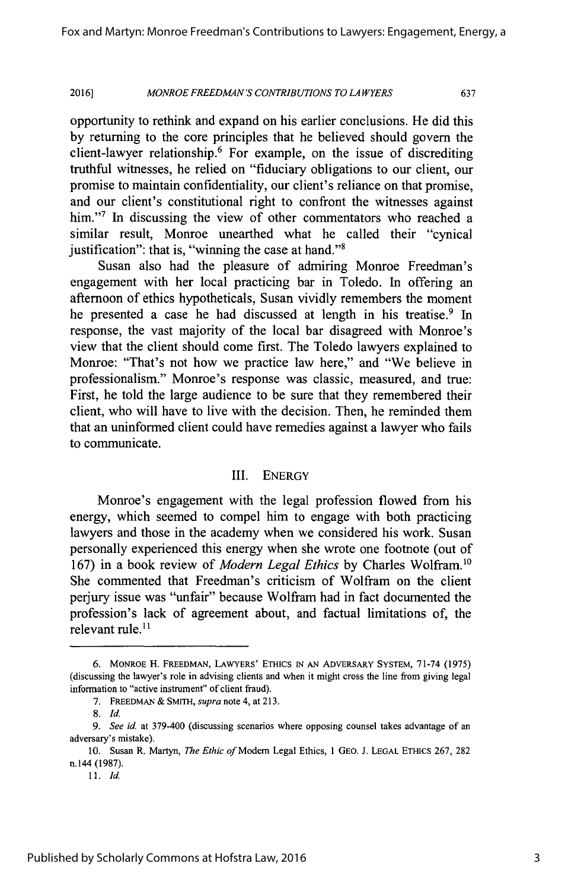opportunity to rethink and expand on his earlier conclusions. He did this **by** returning to the core principles that he believed should govern the client-lawyer relationship.<sup>6</sup> For example, on the issue of discrediting truthful witnesses, he relied on "fiduciary obligations to our client, our promise to maintain confidentiality, our client's reliance on that promise, and our client's constitutional right to confront the witnesses against him."<sup>7</sup> In discussing the view of other commentators who reached a similar result, Monroe unearthed what he called their "cynical justification": that is, "winning the case at hand."<sup>8</sup>

Susan also had the pleasure of admiring Monroe Freedman's engagement with her local practicing bar in Toledo. In offering an afternoon of ethics hypotheticals, Susan vividly remembers the moment he presented a case he had discussed at length in his treatise.<sup>9</sup> In response, the vast majority of the local bar disagreed with Monroe's view that the client should come first. The Toledo lawyers explained to Monroe: "That's not how we practice law here," and "We believe in professionalism." Monroe's response was classic, measured, and true: First, he told the large audience to be sure that they remembered their client, who will have to live with the decision. Then, he reminded them that an uninformed client could have remedies against a lawyer who fails to communicate.

#### III. ENERGY

Monroe's engagement with the legal profession flowed from his energy, which seemed to compel him to engage with both practicing lawyers and those in the academy when we considered his work. Susan personally experienced this energy when she wrote one footnote (out of **167)** in a book review of *Modern Legal Ethics* **by** Charles Wolfram."o She commented that Freedman's criticism of Wolfram on the client perjury issue was "unfair" because Wolfram had in fact documented the profession's lack of agreement about, and factual limitations of, the relevant rule. $<sup>11</sup>$ </sup>

**<sup>6.</sup> MONROE** H. **FREEDMAN, LAWYERS' ETHICS IN AN ADVERSARY SYSTEM, 71-74 (1975)** (discussing the lawyer's role in advising clients and when it might cross the line from giving legal information to "active instrument" of client fraud).

*<sup>7.</sup>* **FREEDMAN** *&* **SMITH,** *supra note* 4, at **213.**

*<sup>8.</sup> Id.*

<sup>9.</sup> *See id.* at 379-400 (discussing scenarios where opposing counsel takes advantage of an adversary's mistake).

**<sup>10.</sup>** Susan R. Martyn, *The Ethic of* Modem Legal Ethics, 1 **GEO. J. LEGAL ETHICS 267, 282** n.144 **(1987).**

*<sup>11.</sup> Id.*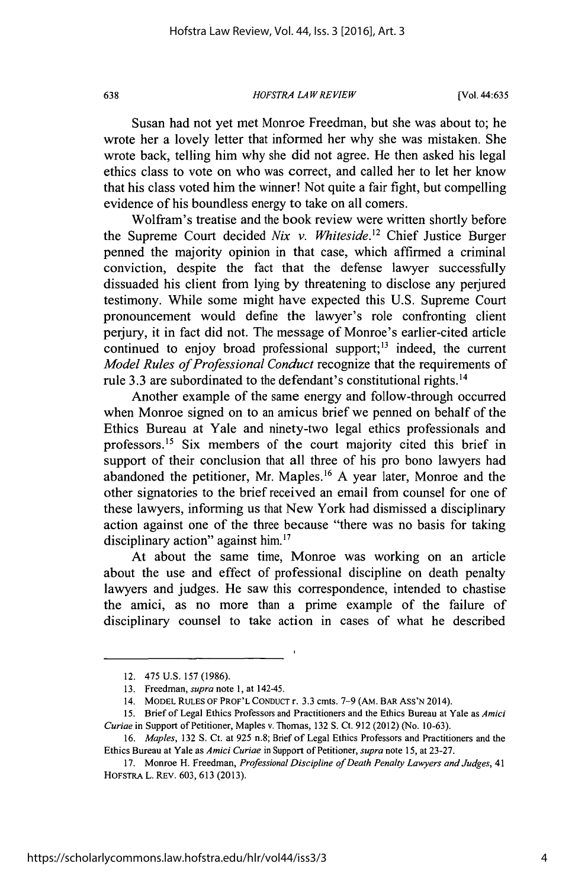*HOFSTRA LAW REVIEW* **638** [Vol. 44:635

Susan had not yet met Monroe Freedman, but she was about to; he wrote her a lovely letter that informed her why she was mistaken. She wrote back, telling him why she did not agree. He then asked his legal ethics class to vote on who was correct, and called her to let her know that his class voted him the winner! Not quite a fair fight, but compelling evidence of his boundless energy to take on all comers.

Wolfram's treatise and the book review were written shortly before the Supreme Court decided *Nix v. Whiteside.1<sup>2</sup>*Chief Justice Burger penned the majority opinion in that case, which affirmed a criminal conviction, despite the fact that the defense lawyer successfully dissuaded his client from lying **by** threatening to disclose any perjured testimony. While some might have expected this **U.S.** Supreme Court pronouncement would define the lawyer's role confronting client perjury, it in fact did not. The message of Monroe's earlier-cited article continued to enjoy broad professional support;<sup>13</sup> indeed, the current *Model Rules of Professional Conduct* recognize that the requirements of rule **3.3** are subordinated to the defendant's constitutional rights.<sup>14</sup>

Another example of the same energy and follow-through occurred when Monroe signed on to an amicus brief we penned on behalf of the Ethics Bureau at Yale and ninety-two legal ethics professionals and professors.<sup>15</sup> Six members of the court majority cited this brief in support of their conclusion that all three of his pro bono lawyers had abandoned the petitioner, Mr. Maples.<sup>16</sup> A year later, Monroe and the other signatories to the brief received an email from counsel for one of these lawyers, informing us that New York had dismissed a disciplinary action against one of the three because "there was no basis for taking disciplinary action" against him.<sup>17</sup>

At about the same time, Monroe was working on an article about the use and effect of professional discipline on death penalty lawyers and judges. He saw this correspondence, intended to chastise the amici, as no more than a prime example of the failure of disciplinary counsel to take action in cases of what he described

<sup>12.</sup> *475* **U.S. 157 (1986).**

**<sup>13.</sup>** Freedman, *supra note* **1,** at 142-45.

<sup>14.</sup> MODEL **RULES OF PROF'L CONDUCT** r. **3.3 cmts. 7-9** (AM. **BAR ASS'N** 2014).

**<sup>15.</sup>** Brief of Legal Ethics Professors and Practitioners and the Ethics Bureau at Yale as *Amici Curiae* in Support of Petitioner, Maples v. Thomas, **132 S.** Ct. **912** (2012) (No. **10-63).**

*<sup>16.</sup> Maples,* **132 S.** Ct. at **925** n.8; Brief of Legal Ethics Professors and Practitioners and the Ethics Bureau at Yale as *Amici Curiae* in Support of Petitioner, *supra note 15,* at **23-27.**

**<sup>17.</sup>** Monroe H. Freedman, *Professional Discipline of Death Penalty Lawyers and Judges, 41* **HOFSTRA** L. REv. **603, 613 (2013).**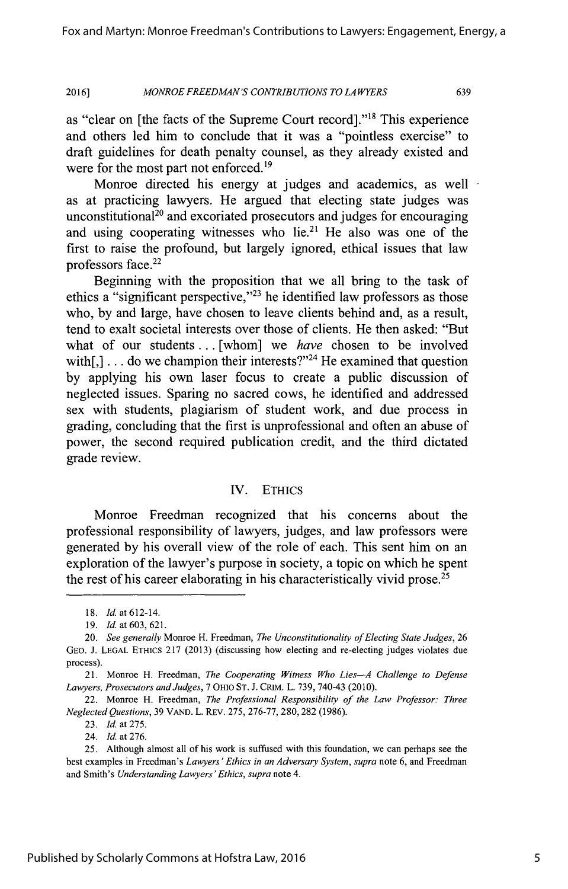as "clear on [the facts of the Supreme Court record]."<sup>18</sup> This experience and others led him to conclude that it was a "pointless exercise" to draft guidelines for death penalty counsel, as they already existed and were for the most part not enforced.<sup>19</sup>

Monroe directed his energy at judges and academics, as well as at practicing lawyers. He argued that electing state judges was unconstitutional<sup>20</sup> and excoriated prosecutors and judges for encouraging and using cooperating witnesses who lie.<sup>21</sup> He also was one of the first to raise the profound, but largely ignored, ethical issues that law professors face.<sup>22</sup>

Beginning with the proposition that we all bring to the task of ethics a "significant perspective,"<sup>23</sup> he identified law professors as those who, **by** and large, have chosen to leave clients behind and, as a result, tend to exalt societal interests over those of clients. He then asked: "But what of our students .. **.** [whom] we *have* chosen to be involved with $[$ , $]$ ... do we champion their interests?"<sup>24</sup> He examined that question **by** applying his own laser focus to create a public discussion of neglected issues. Sparing no sacred cows, he identified and addressed sex with students, plagiarism of student work, and due process in grading, concluding that the first is unprofessional and often an abuse of power, the second required publication credit, and the third dictated grade review.

#### IV. **ETHICS**

Monroe Freedman recognized that his concerns about the professional responsibility of lawyers, judges, and law professors were generated **by** his overall view of the role of each. This sent him on an exploration of the lawyer's purpose in society, a topic on which he spent the rest of his career elaborating in his characteristically vivid prose.<sup>25</sup>

**23.** *Id.* at **275.**

24. *Id.* at **276.**

*<sup>18.</sup> Id* at 612-14.

*<sup>19.</sup> Id. at 603, 621.*

*<sup>20.</sup> See generally* Monroe H. Freedman, *The Unconstitutionality ofElecting State Judges, 26* **GEO. J. LEGAL** ETHICS **217 (2013)** (discussing how electing and re-electing judges violates due process).

<sup>21.</sup> Monroe H. Freedman, *The Cooperating Witness Who Lies-A Challenge to Defense Lawyers, Prosecutors and Judges,* **7** OHIO **ST. J.** CRIM. L. **739,** 740-43 (2010).

<sup>22.</sup> Monroe H. Freedman, *The Professional Responsibility of the Law Professor: Three Neglected Questions,* **39 VAND.** L. REv. **275, 276-77, 280, 282 (1986).**

*<sup>25.</sup>* Although almost all of his work is suffused with this foundation, we can perhaps see the best examples in Freedman's *Lawyers 'Ethics in an Adversary System, supra* note **6,** and Freedman and Smith's *Understanding Lawyers'Ethics, supra* note 4.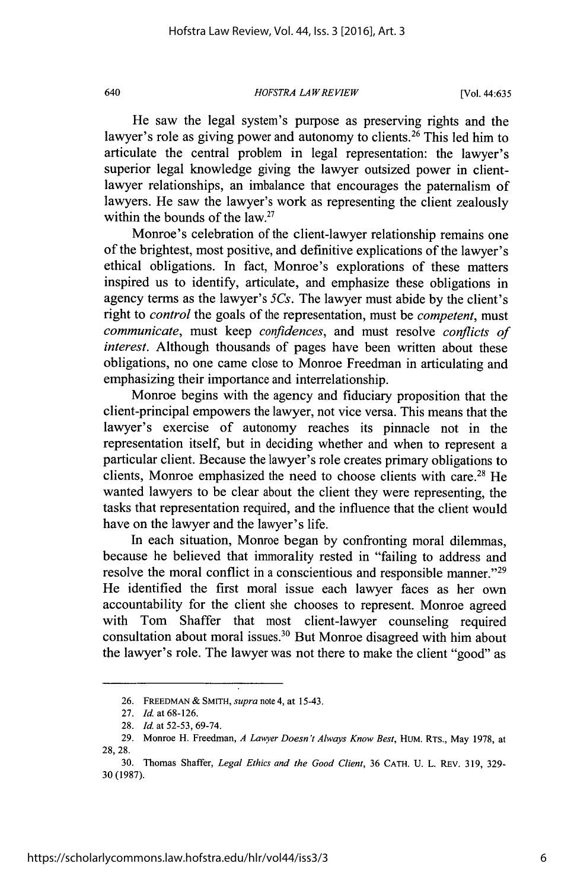#### *HOFSTRA LAW REVIEW* 640 [Vol. 44:635

He saw the legal system's purpose as preserving rights and the lawyer's role as giving power and autonomy to clients.<sup>26</sup> This led him to articulate the central problem in legal representation: the lawyer's superior legal knowledge giving the lawyer outsized power in clientlawyer relationships, an imbalance that encourages the paternalism of lawyers. He saw the lawyer's work as representing the client zealously within the bounds of the law.<sup>27</sup>

Monroe's celebration of the client-lawyer relationship remains one of the brightest, most positive, and definitive explications of the lawyer's ethical obligations. In fact, Monroe's explorations of these matters inspired us to identify, articulate, and emphasize these obligations in agency terms as the lawyer's *5Cs.* The lawyer must abide **by** the client's right to *control* the goals of the representation, must be *competent, must communicate,* must keep *confidences,* and must resolve *conflicts of interest.* Although thousands of pages have been written about these obligations, no one came close to Monroe Freedman in articulating and emphasizing their importance and interrelationship.

Monroe begins with the agency and fiduciary proposition that the client-principal empowers the lawyer, not vice versa. This means that the lawyer's exercise of autonomy reaches its pinnacle not in the representation itself, but in deciding whether and when to represent a particular client. Because the lawyer's role creates primary obligations to clients, Monroe emphasized the need to choose clients with care.<sup>28</sup> He wanted lawyers to be clear about the client they were representing, the tasks that representation required, and the influence that the client would have on the lawyer and the lawyer's life.

In each situation, Monroe began **by** confronting moral dilemmas, because he believed that immorality rested in "failing to address and resolve the moral conflict in a conscientious and responsible manner."29 He identified the first moral issue each lawyer faces as her own accountability for the client she chooses to represent. Monroe agreed with Tom Shaffer that most client-lawyer counseling required consultation about moral issues.<sup>30</sup> But Monroe disagreed with him about the lawyer's role. The lawyer was not there to make the client "good" as

**<sup>26.</sup>** FREEDMAN **&** *SMITH, supra* note 4, at *15-43.*

**<sup>27.</sup>** *Id.* at **68-126.**

**<sup>28.</sup>** *Id.* at *52-53, 69-74.*

**<sup>29.</sup>** Monroe H. Freedman, *A Lawyer Doesn't Always Know Best,* HUM. RTS., May **1978,** at **28, 28.**

**<sup>30.</sup>** Thomas Shaffer, *Legal Ethics and the Good Client,* **36 CATH. U.** L. REv. **319, 329- 30(1987).**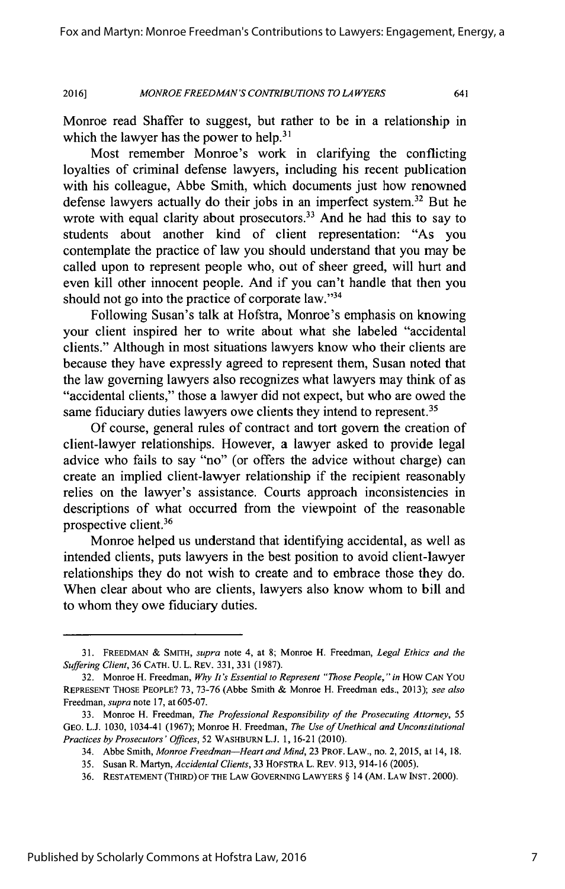Monroe read Shaffer to suggest, but rather to be in a relationship in which the lawyer has the power to help.<sup>31</sup>

Most remember Monroe's work in clarifying the conflicting loyalties of criminal defense lawyers, including his recent publication with his colleague, Abbe Smith, which documents just how renowned defense lawyers actually do their jobs in an imperfect system.<sup>32</sup> But he wrote with equal clarity about prosecutors.<sup>33</sup> And he had this to say to students about another kind of client representation: "As you contemplate the practice of law you should understand that you may be called upon to represent people who, out of sheer greed, will hurt and even kill other innocent people. And if you can't handle that then you should not go into the practice of corporate law." $34$ 

Following Susan's talk at Hofstra, Monroe's emphasis on knowing your client inspired her to write about what she labeled "accidental clients." Although in most situations lawyers know who their clients are because they have expressly agreed to represent them, Susan noted that the law governing lawyers also recognizes what lawyers may think of as "accidental clients," those a lawyer did not expect, but who are owed the same fiduciary duties lawyers owe clients they intend to represent.<sup>35</sup>

**Of** course, general rules of contract and tort govern the creation of client-lawyer relationships. However, a lawyer asked to provide legal advice who fails to say "no" (or offers the advice without charge) can create an implied client-lawyer relationship if the recipient reasonably relies on the lawyer's assistance. Courts approach inconsistencies in descriptions of what occurred from the viewpoint of the reasonable prospective client.<sup>36</sup>

Monroe helped us understand that identifying accidental, as well as intended clients, puts lawyers in the best position to avoid client-lawyer relationships they do not wish to create and to embrace those they do. When clear about who are clients, lawyers also know whom to bill and to whom they owe fiduciary duties.

**<sup>31.</sup>** FREEDMAN *&* SMITH, *supra* note 4, at **8;** Monroe H. Freedman, *Legal Ethics and the Suffering Client,* **36 CATH. U.** L. REv. **331, 331 (1987).**

**<sup>32.</sup>** Monroe H. Freedman, *Why It's Essential to Represent "Those People," in How* **CAN You REPRESENT THOSE** PEOPLE? **73, 73-76** (Abbe Smith **&** Monroe H. Freedman eds., **2013);** *see also* Freedman, *supra* note **17,** at **605-07.**

**<sup>33.</sup>** Monroe H. Freedman, *The Professional Responsibility of the Prosecuting Attorney, 55* **GEO. L.J. 1030,** 1034-41 **(1967);** Monroe H. Freedman, *The Use of Unethical and Unconstitutional Practices by Prosecutors' Offices,* **52** WASHBURN **L.J. 1, 16-21** (2010).

<sup>34.</sup> Abbe Smith, *Monroe Freedman-Heart and Mind,* **23** PROF. LAW., no. **2, 2015,** at 14, 18.

**<sup>35.</sup>** Susan R. Martyn, *Accidental Clients,* **33** HOFSTRA L. REv. **913,** 914-16 **(2005).**

**<sup>36.</sup> RESTATEMENT** (THIRD) OF THE LAW GOVERNING LAWYERS **§** 14 (AM. LAW **INST.** 2000).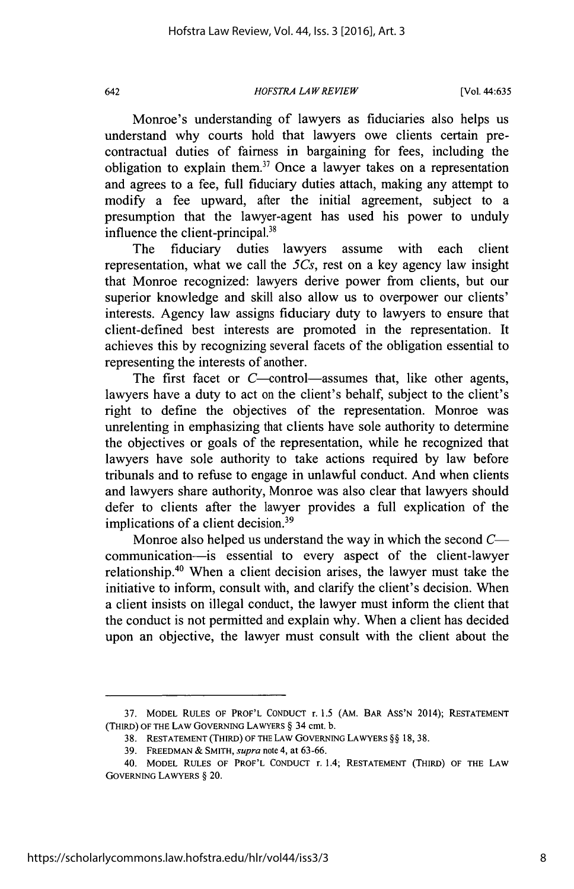#### *HOFSTRA LAW REVIEW* 642 [Vol. 44:635

Monroe's understanding of lawyers as fiduciaries also helps us understand why courts hold that lawyers owe clients certain precontractual duties of fairness in bargaining for fees, including the obligation to explain them.<sup>37</sup> Once a lawyer takes on a representation and agrees to a fee, full fiduciary duties attach, making any attempt to modify a fee upward, after the initial agreement, subject to a presumption that the lawyer-agent has used his power to unduly influence the client-principal.<sup>38</sup>

The fiduciary duties lawyers assume with each client representation, what we call the  $5C_s$ , rest on a key agency law insight that Monroe recognized: lawyers derive power from clients, but our superior knowledge and skill also allow us to overpower our clients' interests. Agency law assigns fiduciary duty to lawyers to ensure that client-defined best interests are promoted in the representation. It achieves this **by** recognizing several facets of the obligation essential to representing the interests of another.

The first facet or  $C$ -control-assumes that, like other agents, lawyers have a duty to act on the client's behalf, subject to the client's right to define the objectives of the representation. Monroe was unrelenting in emphasizing that clients have sole authority to determine the objectives or goals of the representation, while he recognized that lawyers have sole authority to take actions required **by** law before tribunals and to refuse to engage in unlawful conduct. And when clients and lawyers share authority, Monroe was also clear that lawyers should defer to clients after the lawyer provides a full explication of the implications of a client decision.<sup>39</sup>

Monroe also helped us understand the way in which the second C communication-is essential to every aspect of the client-lawyer relationship.<sup>40</sup> When a client decision arises, the lawyer must take the initiative to inform, consult with, and clarify the client's decision. When a client insists on illegal conduct, the lawyer must inform the client that the conduct is not permitted and explain why. When a client has decided upon an objective, the lawyer must consult with the client about the

**<sup>37.</sup> MODEL RULES OF PROF'L CONDUCT** r. *1.5* **(AM. BAR Ass'N** 2014); **RESTATEMENT (THIRD) OF THE LAW GOVERNING LAWYERS §** 34 cmt. **b.**

**<sup>38.</sup> RESTATEMENT (THIRD) OF THE LAW GOVERNING LAWYERS §§ 18, 38.**

**<sup>39.</sup> FREEDMAN** *&* **SMITH,** *supra* note 4, at **63-66.**

<sup>40.</sup> **MODEL RULES OF PROF'L CONDUCT** r. 1.4; **RESTATEMENT (THIRD) OF THE LAW GOVERNING LAWYERS §** 20.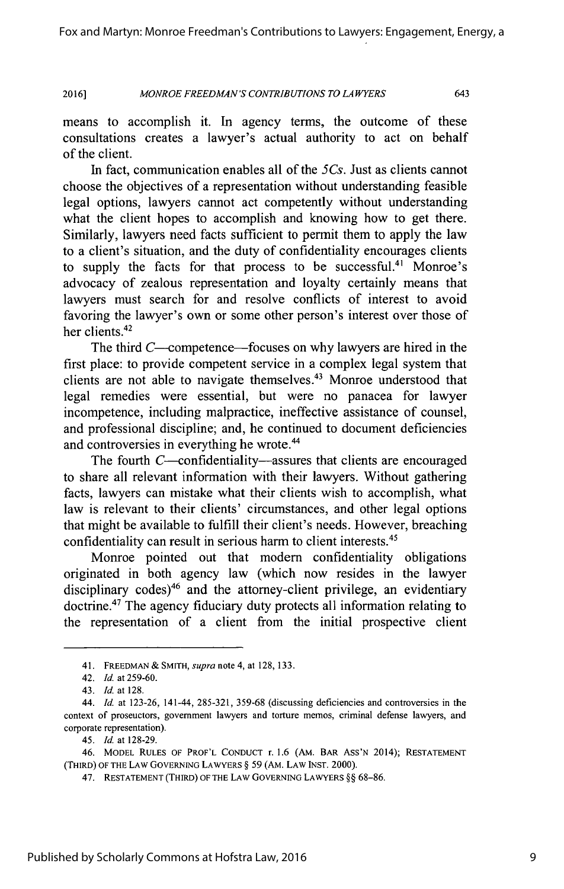means to accomplish it. In agency terms, the outcome of these consultations creates a lawyer's actual authority to act on behalf of the client.

In fact, communication enables all of the 5Cs. Just as clients cannot choose the objectives of a representation without understanding feasible legal options, lawyers cannot act competently without understanding what the client hopes to accomplish and knowing how to get there. Similarly, lawyers need facts sufficient to permit them to apply the law to a client's situation, and the duty of confidentiality encourages clients to supply the facts for that process to be successful.<sup>41</sup> Monroe's advocacy of zealous representation and loyalty certainly means that lawyers must search for and resolve conflicts of interest to avoid favoring the lawyer's own or some other person's interest over those of her clients.<sup>42</sup>

The third C—competence—focuses on why lawyers are hired in the first place: to provide competent service in a complex legal system that clients are not able to navigate themselves.<sup>43</sup> Monroe understood that legal remedies were essential, but were no panacea for lawyer incompetence, including malpractice, ineffective assistance of counsel, and professional discipline; and, he continued to document deficiencies and controversies in everything he wrote.<sup>44</sup>

The fourth  $C$ -confidentiality--assures that clients are encouraged to share all relevant information with their lawyers. Without gathering facts, lawyers can mistake what their clients wish to accomplish, what law is relevant to their clients' circumstances, and other legal options that might be available to fulfill their client's needs. However, breaching confidentiality can result in serious harm to client interests.<sup>45</sup>

Monroe pointed out that modern confidentiality obligations originated in both agency law (which now resides in the lawyer disciplinary codes)<sup>46</sup> and the attorney-client privilege, an evidentiary doctrine.<sup>47</sup> The agency fiduciary duty protects all information relating to the representation of a client from the initial prospective client

<sup>41.</sup> **FREEDMAN** *& SMITH, supra* note 4, at **128, 133.**

<sup>42.</sup> *Id.* at 259-60.

<sup>43.</sup> *Id. at* **128.**

*<sup>44.</sup> Id.* at **123-26,** 141-44, **285-321, 359-68** (discussing deficiencies and controversies in the context of proseuctors, government lawyers and torture memos, criminal defense lawyers, and corporate representation).

*<sup>45.</sup> Id* at **128-29.**

<sup>46.</sup> MODEL **RULES** OF PROF'L **CONDUCT** r. **1.6** (AM. BAR Ass'N 2014); **RESTATEMENT** (THIRD) OF THE LAW **GOVERNING** LAWYERS **§** *59* (AM. LAW **INST.** 2000).

<sup>47.</sup> **RESTATEMENT** (THIRD) OF THE LAW GOVERNING LAWYERS **§§ 68-86.**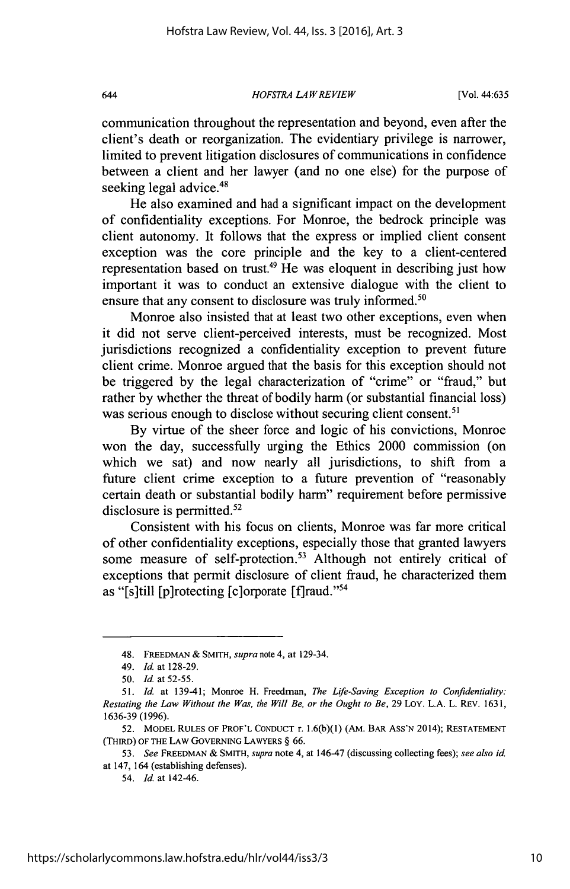#### *HOFSTRA LAWREVIEW* 644 [Vol. 44:635

communication throughout the representation and beyond, even after the client's death or reorganization. The evidentiary privilege is narrower, limited to prevent litigation disclosures of communications in confidence between a client and her lawyer (and no one else) for the purpose of seeking legal advice.<sup>48</sup>

He also examined and had a significant impact on the development of confidentiality exceptions. For Monroe, the bedrock principle was client autonomy. It follows that the express or implied client consent exception was the core principle and the key to a client-centered representation based on trust.<sup>49</sup> He was eloquent in describing just how important it was to conduct an extensive dialogue with the client to ensure that any consent to disclosure was truly informed.<sup>50</sup>

Monroe also insisted that at least two other exceptions, even when it did not serve client-perceived interests, must be recognized. Most jurisdictions recognized a confidentiality exception to prevent future client crime. Monroe argued that the basis for this exception should not be triggered **by** the legal characterization of "crime" or "fraud," but rather **by** whether the threat of bodily harm (or substantial financial loss) was serious enough to disclose without securing client consent.<sup>51</sup>

**By** virtue of the sheer force and logic of his convictions, Monroe won the day, successfully urging the Ethics 2000 commission (on which we sat) and now nearly all jurisdictions, to shift from a future client crime exception to a future prevention of "reasonably certain death or substantial bodily harm" requirement before permissive disclosure is permitted. $52$ 

Consistent with his focus on clients, Monroe was far more critical of other confidentiality exceptions, especially those that granted lawyers some measure of self-protection.<sup>53</sup> Although not entirely critical of exceptions that permit disclosure of client fraud, he characterized them as "[s]till [p]rotecting [c]orporate [f]raud."<sup>54</sup>

54. *Id.* at 142-46.

<sup>48.</sup> **FREEDMAN &** *SMITH, supra* note 4, at 129-34.

*<sup>49.</sup> Id. at* **128-29.**

*<sup>50.</sup> Id at* **52-55.**

*<sup>51.</sup> Id* at 139-41; Monroe H. Freedman, *The Life-Saving Exception to Confidentiality: Restating the Law Without the Was, the Will Be, or the Ought to Be,* **29** LoY. **L.A.** L. REv. **1631, 1636-39 (1996).**

**<sup>52.</sup>** MODEL **RULES** OF PROF'L **CONDUCT** r. **L.6(b)(1)** (AM. BAR ASs'N 2014); **RESTATEMENT** (THIRD) OF THE LAW GOVERNING LAWYERS **§ 66.**

*<sup>53.</sup> See* FREEDMAN **&** SMITH, *supra* note 4, at 146-47 (discussing collecting fees); *see also id.* at 147, 164 (establishing defenses).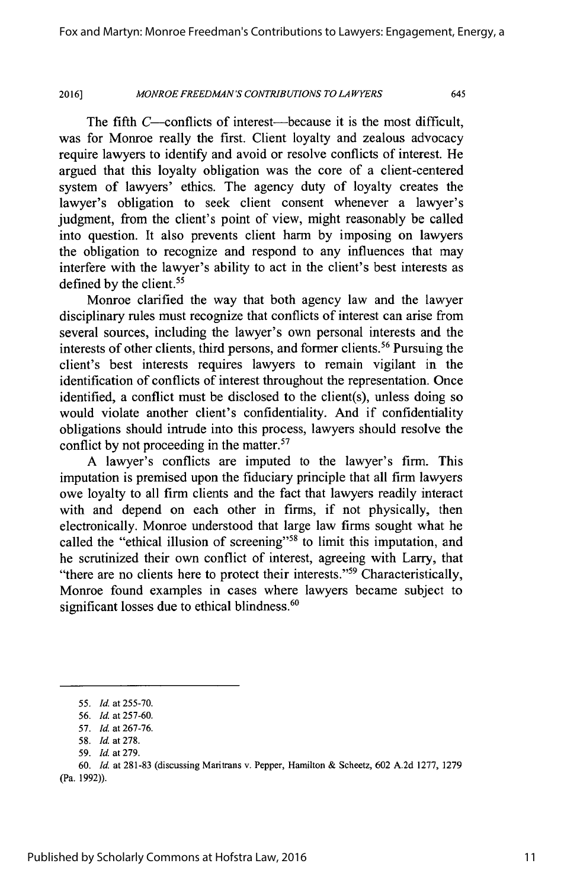The fifth  $C$ —conflicts of interest—because it is the most difficult, was for Monroe really the first. Client loyalty and zealous advocacy require lawyers to identify and avoid or resolve conflicts of interest. He argued that this loyalty obligation was the core of a client-centered system of lawyers' ethics. The agency duty of loyalty creates the lawyer's obligation to seek client consent whenever a lawyer's judgment, from the client's point of view, might reasonably be called into question. It also prevents client harm **by** imposing on lawyers the obligation to recognize and respond to any influences that may interfere with the lawyer's ability to act in the client's best interests as defined by the client.<sup>55</sup>

Monroe clarified the way that both agency law and the lawyer disciplinary rules must recognize that conflicts of interest can arise from several sources, including the lawyer's own personal interests and the interests of other clients, third persons, and former clients.<sup>56</sup> Pursuing the client's best interests requires lawyers to remain vigilant in the identification of conflicts of interest throughout the representation. Once identified, a conflict must be disclosed to the client(s), unless doing so would violate another client's confidentiality. And if confidentiality obligations should intrude into this process, lawyers should resolve the conflict by not proceeding in the matter.<sup>57</sup>

**A** lawyer's conflicts are imputed to the lawyer's firm. This imputation is premised upon the fiduciary principle that all firm lawyers owe loyalty to all firm clients and the fact that lawyers readily interact with and depend on each other in firms, if not physically, then electronically. Monroe understood that large law firms sought what he called the "ethical illusion of screening"<sup>58</sup> to limit this imputation, and he scrutinized their own conflict of interest, agreeing with Larry, that "there are no clients here to protect their interests."<sup>59</sup> Characteristically, Monroe found examples in cases where lawyers became subject to significant losses due to ethical blindness. $60$ 

*<sup>55.</sup> Id.* at **255-70.**

*<sup>56.</sup> Id.* at **257-60.**

*<sup>57.</sup> Id.* at **267-76.**

**<sup>58.</sup>** *Id.* at **278.**

*<sup>59.</sup> Id.* at **279.**

**<sup>60.</sup>** *Id.* at **281-83** (discussing Maritrans v. Pepper, Hamilton **&** Scheetz, **602 A.2d 1277, 1279** (Pa. **1992)).**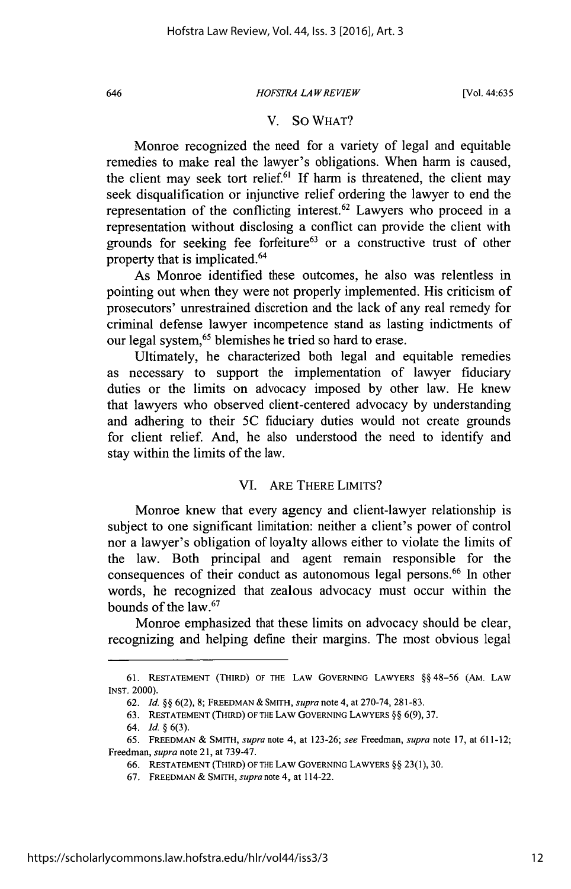#### *HOFSTRA LAW REVIEW* 646 [Vol. 44:635

#### V. **So** WHAT?

Monroe recognized the need for a variety of legal and equitable remedies to make real the lawyer's obligations. When harm is caused, the client may seek tort relief.<sup>6</sup>**If** harm is threatened, the client may seek disqualification or injunctive relief ordering the lawyer to end the representation of the conflicting interest. $62$  Lawyers who proceed in a representation without disclosing a conflict can provide the client with grounds for seeking fee forfeiture<sup>63</sup> or a constructive trust of other property that is implicated.<sup>64</sup>

As Monroe identified these outcomes, he also was relentless in pointing out when they were not properly implemented. His criticism of prosecutors' unrestrained discretion and the lack of any real remedy for criminal defense lawyer incompetence stand as lasting indictments of our legal system,<sup>65</sup> blemishes he tried so hard to erase.

Ultimately, he characterized both legal and equitable remedies as necessary to support the implementation of lawyer fiduciary duties or the limits on advocacy imposed **by** other law. He knew that lawyers who observed client-centered advocacy **by** understanding and adhering to their **5C** fiduciary duties would not create grounds for client relief. And, he also understood the need to identify and stay within the limits of the law.

#### VI. ARE THERE LIMITS?

Monroe knew that every agency and client-lawyer relationship is subject to one significant limitation: neither a client's power of control nor a lawyer's obligation of loyalty allows either to violate the limits of the law. Both principal and agent remain responsible for the consequences of their conduct as autonomous legal persons.<sup>66</sup> In other words, he recognized that zealous advocacy must occur within the bounds of the law. $67$ 

Monroe emphasized that these limits on advocacy should be clear, recognizing and helping define their margins. The most obvious legal

**<sup>61.</sup> RESTATEMENT** (THIRD) OF THE LAW GOVERNING LAWYERS **§§ 48-56** (AM. LAW **INST.** 2000).

**<sup>62.</sup>** *Id. §§* **6(2), 8;** FREEDMAN **&** *SMITH, supra* note **4,** at **270-74, 281-83.**

**<sup>63.</sup> RESTATEMENT** (THIRD) OF THE LAw GOVERNING LAWYERS **§§ 6(9), 37.**

*<sup>64.</sup> Id. §* **6(3).**

**<sup>65.</sup>** FREEDMAN **& SMITH,** *supra* note 4, *at* **123-26;** *see Freedman, supra* note **17,** *at* **611-12;** Freedman, *supra* note 21, at **739-47.**

**<sup>66.</sup> RESTATEMENT** (THIRD) OF THE LAW GOVERNING LAWYERS **§§ 23(1), 30.**

*<sup>67.</sup>* **FREEDMAN &** *SMITH, supra* note **4,** *at* 114-22.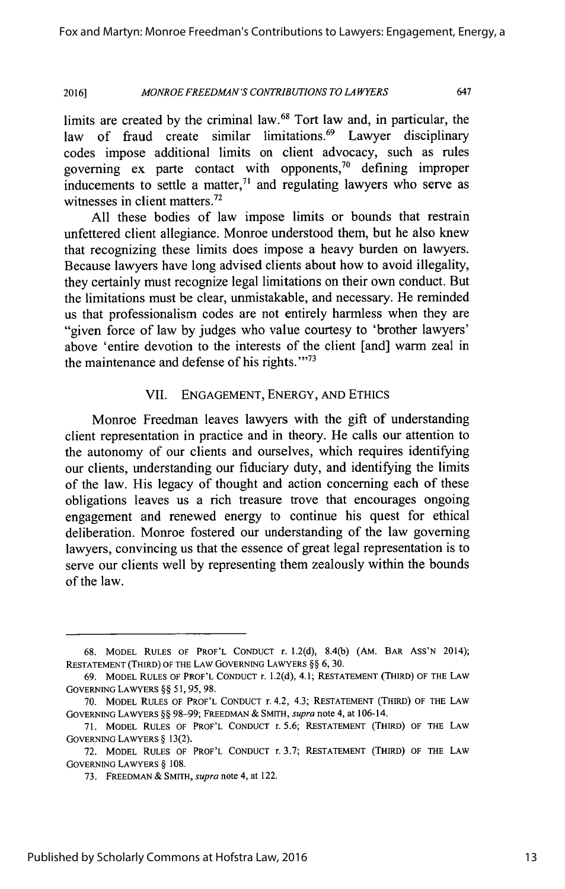limits are created by the criminal law.<sup>68</sup> Tort law and, in particular, the law of fraud create similar limitations.<sup>69</sup> Lawyer disciplinary codes impose additional limits on client advocacy, such as rules governing ex parte contact with opponents,<sup>70</sup> defining improper inducements to settle a matter, $71$  and regulating lawyers who serve as witnesses in client matters.<sup>72</sup>

**All** these bodies of law impose limits or bounds that restrain unfettered client allegiance. Monroe understood them, but he also knew that recognizing these limits does impose a heavy burden on lawyers. Because lawyers have long advised clients about how to avoid illegality, they certainly must recognize legal limitations on their own conduct. But the limitations must be clear, unmistakable, and necessary. He reminded us that professionalism codes are not entirely harmless when they are "given force of law **by** judges who value courtesy to 'brother lawyers' above 'entire devotion to the interests of the client [and] warm zeal in the maintenance and defense of his rights. $1.73$ 

#### VII. **ENGAGEMENT,** ENERGY, **AND ETHICS**

Monroe Freedman leaves lawyers with the gift of understanding client representation in practice and in theory. He calls our attention to the autonomy of our clients and ourselves, which requires identifying our clients, understanding our fiduciary duty, and identifying the limits of the law. His legacy of thought and action concerning each of these obligations leaves us a rich treasure trove that encourages ongoing engagement and renewed energy to continue his quest for ethical deliberation. Monroe fostered our understanding of the law governing lawyers, convincing us that the essence of great legal representation is to serve our clients well **by** representing them zealously within the bounds of the law.

**<sup>68.</sup>** MODEL **RULES** OF PROF'L **CONDUCT** r. **1.2(d), 8.4(b)** (AM. BAR Ass'N 2014); **RESTATEMENT** (THIRD) OF THE LAW GOVERNING LAWYERS **§§ 6, 30.**

**<sup>69.</sup>** MODEL **RULES** OF PROF'L **CONDUCT** r. **1.2(d), 4.1; RESTATEMENT** (THIRD) OF THE LAW GOVERNING LAWYERS **§§ 51, 95, 98.**

**<sup>70.</sup>** MODEL **RULES** OF PROF'L **CONDUCT** r. 4.2, 4.3; **RESTATEMENT** (THIRD) OF THE LAW **GOVERNING** LAWYERS **§§ 98-99;** FREEDMAN *&* SMITH, *supra* note *4, at* 106-14.

**<sup>71.</sup>** MODEL **RULES** OF PROF'L **CONDUCT** r. **5.6; RESTATEMENT** (THIRD) OF THE LAW **GOVERNING** LAWYERS **§ 13(2).**

**<sup>72.</sup>** MODEL **RULES** OF PROF'L **CONDUCT** r. **3.7; RESTATEMENT** (THIRD) OF THE LAW GOVERNING LAWYERS **§ 108.**

**<sup>73.</sup>** FREEDMAN *&* SMITH, *supra* note 4, at 122.